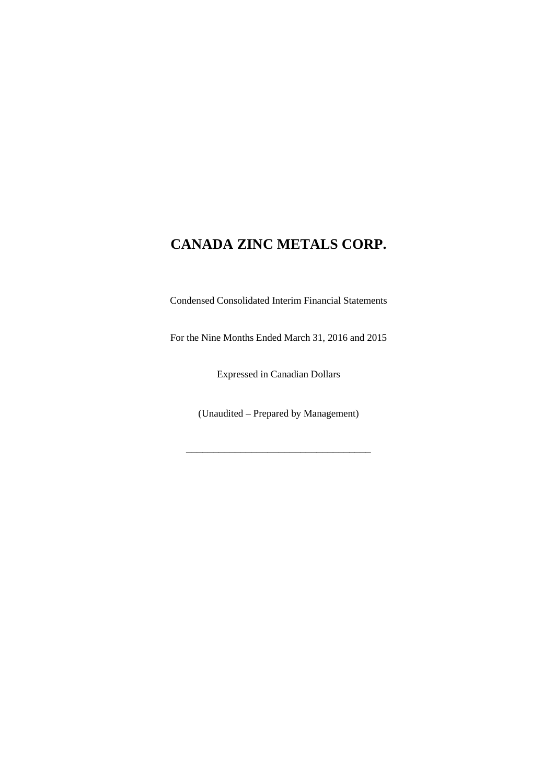Condensed Consolidated Interim Financial Statements

For the Nine Months Ended March 31, 2016 and 2015

Expressed in Canadian Dollars

(Unaudited – Prepared by Management)

\_\_\_\_\_\_\_\_\_\_\_\_\_\_\_\_\_\_\_\_\_\_\_\_\_\_\_\_\_\_\_\_\_\_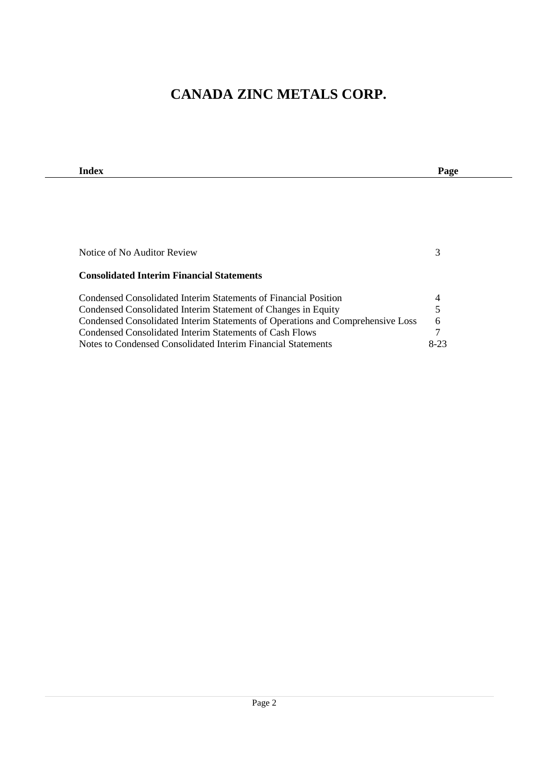| Index                                                                          | Page   |  |
|--------------------------------------------------------------------------------|--------|--|
|                                                                                |        |  |
|                                                                                |        |  |
|                                                                                |        |  |
|                                                                                |        |  |
|                                                                                |        |  |
| Notice of No Auditor Review                                                    | 3      |  |
|                                                                                |        |  |
| <b>Consolidated Interim Financial Statements</b>                               |        |  |
|                                                                                |        |  |
| Condensed Consolidated Interim Statements of Financial Position                | 4      |  |
| Condensed Consolidated Interim Statement of Changes in Equity                  | 5      |  |
| Condensed Consolidated Interim Statements of Operations and Comprehensive Loss | 6      |  |
| Condensed Consolidated Interim Statements of Cash Flows                        | 7      |  |
| Notes to Condensed Consolidated Interim Financial Statements                   | $8-23$ |  |

 $\mathbf{r}$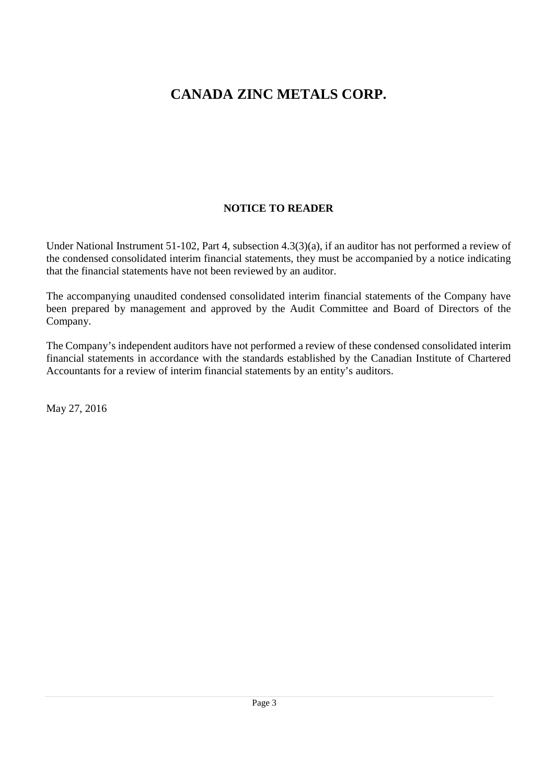### **NOTICE TO READER**

Under National Instrument 51-102, Part 4, subsection 4.3(3)(a), if an auditor has not performed a review of the condensed consolidated interim financial statements, they must be accompanied by a notice indicating that the financial statements have not been reviewed by an auditor.

The accompanying unaudited condensed consolidated interim financial statements of the Company have been prepared by management and approved by the Audit Committee and Board of Directors of the Company.

The Company's independent auditors have not performed a review of these condensed consolidated interim financial statements in accordance with the standards established by the Canadian Institute of Chartered Accountants for a review of interim financial statements by an entity's auditors.

May 27, 2016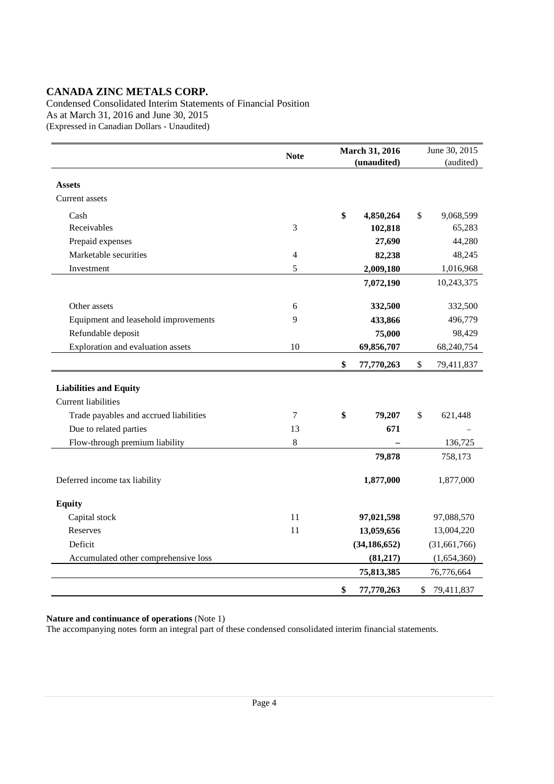Condensed Consolidated Interim Statements of Financial Position As at March 31, 2016 and June 30, 2015 (Expressed in Canadian Dollars - Unaudited)

|                                        | <b>Note</b> | March 31, 2016 |                | June 30, 2015    |
|----------------------------------------|-------------|----------------|----------------|------------------|
|                                        |             |                | (unaudited)    | (audited)        |
| <b>Assets</b>                          |             |                |                |                  |
| Current assets                         |             |                |                |                  |
| Cash                                   |             | \$             | 4,850,264      | \$<br>9,068,599  |
| Receivables                            | 3           |                | 102,818        | 65,283           |
| Prepaid expenses                       |             |                | 27,690         | 44,280           |
| Marketable securities                  | 4           |                | 82,238         | 48,245           |
| Investment                             | 5           |                | 2,009,180      | 1,016,968        |
|                                        |             |                | 7,072,190      | 10,243,375       |
| Other assets                           | 6           |                | 332,500        | 332,500          |
| Equipment and leasehold improvements   | 9           |                | 433,866        | 496,779          |
| Refundable deposit                     |             |                | 75,000         | 98,429           |
| Exploration and evaluation assets      | 10          |                | 69,856,707     | 68,240,754       |
|                                        |             | \$             | 77,770,263     | \$<br>79,411,837 |
| <b>Liabilities and Equity</b>          |             |                |                |                  |
| <b>Current liabilities</b>             |             |                |                |                  |
| Trade payables and accrued liabilities | 7           | \$             | 79,207         | \$<br>621,448    |
| Due to related parties                 | 13          |                | 671            |                  |
| Flow-through premium liability         | 8           |                |                | 136,725          |
|                                        |             |                | 79,878         | 758,173          |
| Deferred income tax liability          |             |                | 1,877,000      | 1,877,000        |
| <b>Equity</b>                          |             |                |                |                  |
| Capital stock                          | 11          |                | 97,021,598     | 97,088,570       |
| Reserves                               | 11          |                | 13,059,656     | 13,004,220       |
| Deficit                                |             |                | (34, 186, 652) | (31, 661, 766)   |
| Accumulated other comprehensive loss   |             |                | (81, 217)      | (1,654,360)      |
|                                        |             |                | 75,813,385     | 76,776,664       |
|                                        |             | \$             | 77,770,263     | \$<br>79,411,837 |

**Nature and continuance of operations** (Note 1)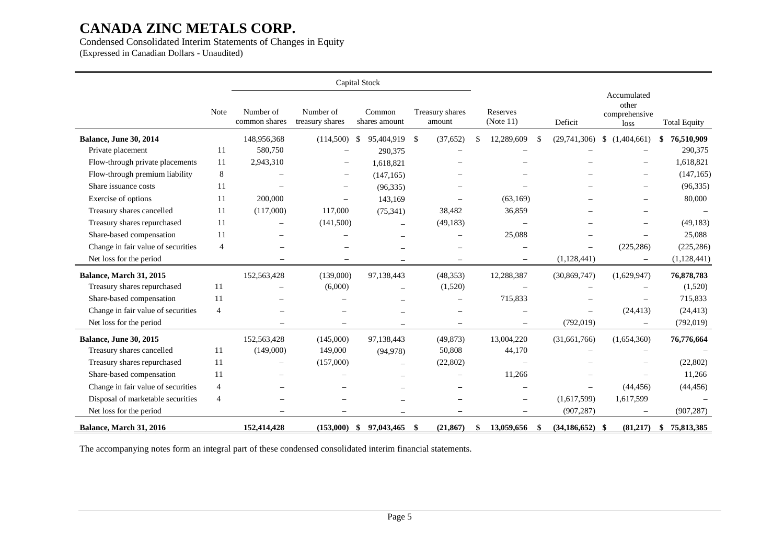### Condensed Consolidated Interim Statements of Changes in Equity

(Expressed in Canadian Dollars - Unaudited)

|                                    |                |                            |                              | Capital Stock            |                           |                       |                          |                     |                                               |                     |
|------------------------------------|----------------|----------------------------|------------------------------|--------------------------|---------------------------|-----------------------|--------------------------|---------------------|-----------------------------------------------|---------------------|
|                                    | Note           | Number of<br>common shares | Number of<br>treasury shares | Common<br>shares amount  | Treasury shares<br>amount | Reserves<br>(Note 11) |                          | Deficit             | Accumulated<br>other<br>comprehensive<br>loss | <b>Total Equity</b> |
| <b>Balance, June 30, 2014</b>      |                | 148,956,368                | $(114,500)$ \$               | 95,404,919               | -S<br>(37, 652)           | 12,289,609            | <sup>\$</sup>            | (29,741,306)        | (1,404,661)<br><sup>\$</sup>                  | 76,510,909          |
| Private placement                  | 11             | 580,750                    |                              | 290,375                  |                           |                       |                          |                     |                                               | 290,375             |
| Flow-through private placements    | 11             | 2,943,310                  |                              | 1,618,821                |                           |                       |                          |                     |                                               | 1,618,821           |
| Flow-through premium liability     | 8              |                            | $\overline{\phantom{0}}$     | (147, 165)               |                           |                       |                          |                     |                                               | (147, 165)          |
| Share issuance costs               | 11             |                            |                              | (96, 335)                |                           |                       |                          |                     |                                               | (96, 335)           |
| Exercise of options                | 11             | 200,000                    |                              | 143,169                  |                           | (63,169)              |                          |                     |                                               | 80,000              |
| Treasury shares cancelled          | 11             | (117,000)                  | 117,000                      | (75, 341)                | 38,482                    | 36,859                |                          |                     | $\overline{\phantom{0}}$                      |                     |
| Treasury shares repurchased        | 11             | $\equiv$                   | (141,500)                    |                          | (49, 183)                 |                       |                          |                     |                                               | (49, 183)           |
| Share-based compensation           | 11             |                            |                              |                          |                           | 25,088                |                          |                     |                                               | 25,088              |
| Change in fair value of securities | $\overline{4}$ |                            |                              |                          |                           |                       |                          |                     | (225, 286)                                    | (225, 286)          |
| Net loss for the period            |                | $\overline{\phantom{0}}$   | $\overline{\phantom{0}}$     |                          | $\overline{\phantom{m}}$  |                       | $\overline{\phantom{0}}$ | (1,128,441)         |                                               | (1,128,441)         |
| Balance, March 31, 2015            |                | 152,563,428                | (139,000)                    | 97,138,443               | (48, 353)                 | 12,288,387            |                          | (30,869,747)        | (1,629,947)                                   | 76,878,783          |
| Treasury shares repurchased        | 11             |                            | (6,000)                      | $\overline{\phantom{0}}$ | (1,520)                   |                       |                          |                     |                                               | (1,520)             |
| Share-based compensation           | 11             |                            |                              |                          | $\qquad \qquad -$         | 715,833               |                          |                     |                                               | 715,833             |
| Change in fair value of securities | 4              |                            |                              |                          |                           |                       |                          |                     | (24, 413)                                     | (24, 413)           |
| Net loss for the period            |                |                            |                              |                          |                           |                       |                          | (792, 019)          |                                               | (792, 019)          |
| <b>Balance, June 30, 2015</b>      |                | 152,563,428                | (145,000)                    | 97,138,443               | (49, 873)                 | 13,004,220            |                          | (31,661,766)        | (1,654,360)                                   | 76,776,664          |
| Treasury shares cancelled          | 11             | (149,000)                  | 149,000                      | (94, 978)                | 50,808                    | 44,170                |                          |                     |                                               |                     |
| Treasury shares repurchased        | 11             | $\equiv$                   | (157,000)                    |                          | (22, 802)                 |                       |                          |                     |                                               | (22,802)            |
| Share-based compensation           | 11             |                            |                              |                          |                           | 11,266                |                          |                     |                                               | 11,266              |
| Change in fair value of securities | $\overline{4}$ |                            |                              |                          |                           |                       |                          |                     | (44, 456)                                     | (44, 456)           |
| Disposal of marketable securities  | 4              |                            |                              |                          |                           |                       |                          | (1,617,599)         | 1,617,599                                     |                     |
| Net loss for the period            |                |                            |                              |                          |                           |                       |                          | (907, 287)          |                                               | (907, 287)          |
| Balance, March 31, 2016            |                | 152,414,428                | (153,000)                    | 97,043,465<br>\$         | (21, 867)<br>-\$          | 13,059,656<br>\$      | \$                       | $(34, 186, 652)$ \$ | (81,217)                                      | 75,813,385<br>\$    |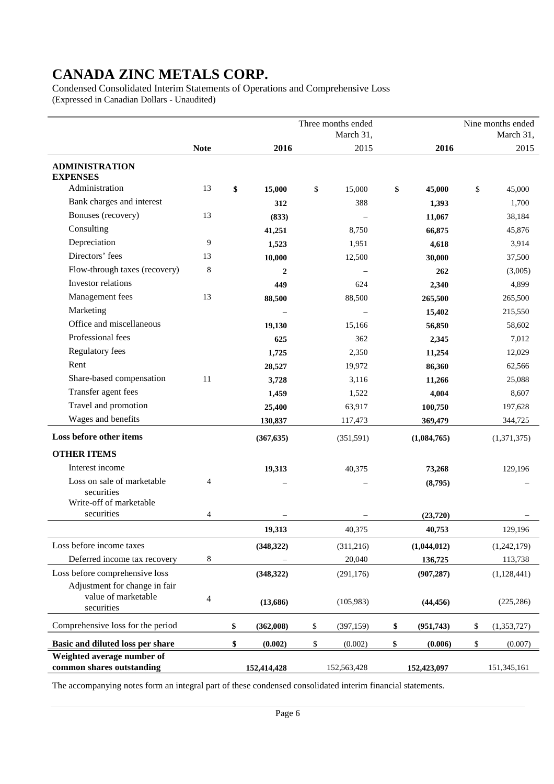Condensed Consolidated Interim Statements of Operations and Comprehensive Loss (Expressed in Canadian Dollars - Unaudited)

|                                                                     |                          |                 | Three months ended<br>March 31, |                  | Nine months ended<br>March 31, |
|---------------------------------------------------------------------|--------------------------|-----------------|---------------------------------|------------------|--------------------------------|
|                                                                     | <b>Note</b>              | 2016            | 2015                            | 2016             | 2015                           |
| <b>ADMINISTRATION</b><br><b>EXPENSES</b>                            |                          |                 |                                 |                  |                                |
| Administration                                                      | 13                       | \$<br>15,000    | \$<br>15,000                    | \$<br>45,000     | \$<br>45,000                   |
| Bank charges and interest                                           |                          | 312             | 388                             | 1,393            | 1,700                          |
| Bonuses (recovery)                                                  | 13                       | (833)           |                                 | 11,067           | 38,184                         |
| Consulting                                                          |                          | 41,251          | 8,750                           | 66,875           | 45,876                         |
| Depreciation                                                        | 9                        | 1,523           | 1,951                           | 4,618            | 3,914                          |
| Directors' fees                                                     | 13                       | 10,000          | 12,500                          | 30,000           | 37,500                         |
| Flow-through taxes (recovery)                                       | 8                        | 2               |                                 | 262              | (3,005)                        |
| Investor relations                                                  |                          | 449             | 624                             | 2,340            | 4,899                          |
| Management fees                                                     | 13                       | 88,500          | 88,500                          | 265,500          | 265,500                        |
| Marketing                                                           |                          |                 |                                 | 15,402           | 215,550                        |
| Office and miscellaneous                                            |                          | 19,130          | 15,166                          | 56,850           | 58,602                         |
| Professional fees                                                   |                          | 625             | 362                             | 2,345            | 7,012                          |
| Regulatory fees                                                     |                          | 1,725           | 2,350                           | 11,254           | 12,029                         |
| Rent                                                                |                          | 28,527          | 19,972                          | 86,360           | 62,566                         |
| Share-based compensation                                            | 11                       | 3,728           | 3,116                           | 11,266           | 25,088                         |
| Transfer agent fees                                                 |                          | 1,459           | 1,522                           | 4,004            | 8,607                          |
| Travel and promotion                                                |                          | 25,400          | 63,917                          | 100,750          | 197,628                        |
| Wages and benefits                                                  |                          | 130,837         | 117,473                         | 369,479          | 344,725                        |
| Loss before other items                                             |                          | (367, 635)      | (351,591)                       | (1,084,765)      | (1,371,375)                    |
| <b>OTHER ITEMS</b>                                                  |                          |                 |                                 |                  |                                |
| Interest income                                                     |                          | 19,313          | 40,375                          | 73,268           | 129,196                        |
| Loss on sale of marketable<br>securities<br>Write-off of marketable | 4                        |                 |                                 | (8,795)          |                                |
| securities                                                          | 4                        |                 |                                 | (23,720)         |                                |
|                                                                     |                          | 19,313          | 40,375                          | 40,753           | 129,196                        |
| Loss before income taxes                                            |                          | (348,322)       | (311,216)                       | (1,044,012)      | (1,242,179)                    |
| Deferred income tax recovery                                        | 8                        |                 | 20,040                          | 136,725          | 113,738                        |
| Loss before comprehensive loss                                      |                          | (348, 322)      | (291, 176)                      | (907, 287)       | (1, 128, 441)                  |
| Adjustment for change in fair<br>value of marketable<br>securities  | $\overline{\mathcal{A}}$ | (13,686)        | (105,983)                       | (44, 456)        | (225, 286)                     |
| Comprehensive loss for the period                                   |                          | \$<br>(362,008) | \$<br>(397, 159)                | \$<br>(951, 743) | \$<br>(1, 353, 727)            |
| Basic and diluted loss per share                                    |                          | \$<br>(0.002)   | \$<br>(0.002)                   | \$<br>(0.006)    | \$<br>(0.007)                  |
| Weighted average number of<br>common shares outstanding             |                          | 152,414,428     | 152,563,428                     | 152,423,097      | 151,345,161                    |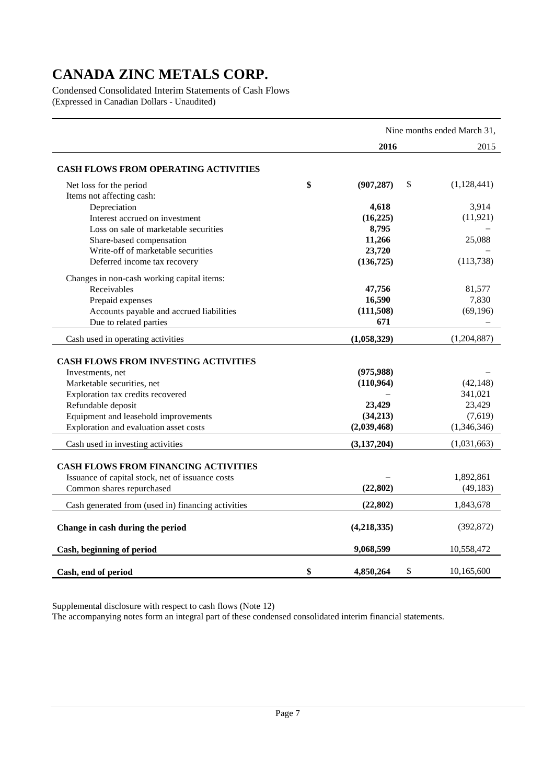Condensed Consolidated Interim Statements of Cash Flows (Expressed in Canadian Dollars - Unaudited)

|                                                    |                        | Nine months ended March 31, |
|----------------------------------------------------|------------------------|-----------------------------|
|                                                    | 2016                   | 2015                        |
| <b>CASH FLOWS FROM OPERATING ACTIVITIES</b>        |                        |                             |
| Net loss for the period                            | \$<br>(907, 287)<br>\$ | (1,128,441)                 |
| Items not affecting cash:                          |                        |                             |
| Depreciation                                       | 4,618                  | 3,914                       |
| Interest accrued on investment                     | (16, 225)              | (11, 921)                   |
| Loss on sale of marketable securities              | 8,795                  |                             |
| Share-based compensation                           | 11,266                 | 25,088                      |
| Write-off of marketable securities                 | 23,720                 |                             |
| Deferred income tax recovery                       | (136, 725)             | (113, 738)                  |
| Changes in non-cash working capital items:         |                        |                             |
| Receivables                                        | 47,756                 | 81,577                      |
| Prepaid expenses                                   | 16,590                 | 7,830                       |
| Accounts payable and accrued liabilities           | (111,508)              | (69, 196)                   |
| Due to related parties                             | 671                    |                             |
| Cash used in operating activities                  | (1,058,329)            | (1,204,887)                 |
|                                                    |                        |                             |
| <b>CASH FLOWS FROM INVESTING ACTIVITIES</b>        |                        |                             |
| Investments, net                                   | (975, 988)             |                             |
| Marketable securities, net                         | (110, 964)             | (42, 148)<br>341,021        |
| Exploration tax credits recovered                  | 23,429                 | 23,429                      |
| Refundable deposit                                 | (34,213)               | (7,619)                     |
| Equipment and leasehold improvements               |                        | (1,346,346)                 |
| Exploration and evaluation asset costs             | (2,039,468)            |                             |
| Cash used in investing activities                  | (3,137,204)            | (1,031,663)                 |
| <b>CASH FLOWS FROM FINANCING ACTIVITIES</b>        |                        |                             |
| Issuance of capital stock, net of issuance costs   |                        | 1,892,861                   |
| Common shares repurchased                          | (22, 802)              | (49, 183)                   |
|                                                    |                        |                             |
| Cash generated from (used in) financing activities | (22, 802)              | 1,843,678                   |
| Change in cash during the period                   | (4,218,335)            | (392, 872)                  |
| Cash, beginning of period                          | 9,068,599              | 10,558,472                  |
| Cash, end of period                                | \$<br>\$<br>4,850,264  | 10,165,600                  |

Supplemental disclosure with respect to cash flows (Note 12)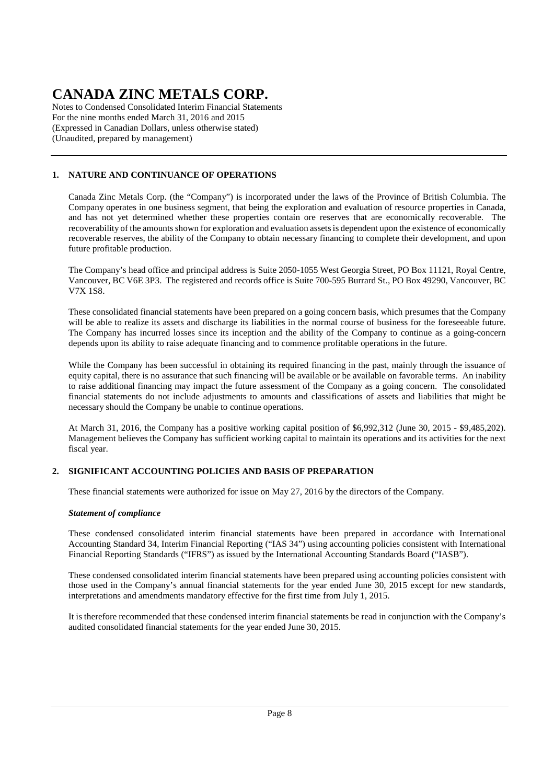Notes to Condensed Consolidated Interim Financial Statements For the nine months ended March 31, 2016 and 2015 (Expressed in Canadian Dollars, unless otherwise stated) (Unaudited, prepared by management)

### **1. NATURE AND CONTINUANCE OF OPERATIONS**

Canada Zinc Metals Corp. (the "Company") is incorporated under the laws of the Province of British Columbia. The Company operates in one business segment, that being the exploration and evaluation of resource properties in Canada, and has not yet determined whether these properties contain ore reserves that are economically recoverable. The recoverability of the amounts shown for exploration and evaluation assets is dependent upon the existence of economically recoverable reserves, the ability of the Company to obtain necessary financing to complete their development, and upon future profitable production.

The Company's head office and principal address is Suite 2050-1055 West Georgia Street, PO Box 11121, Royal Centre, Vancouver, BC V6E 3P3. The registered and records office is Suite 700-595 Burrard St., PO Box 49290, Vancouver, BC V7X 1S8.

These consolidated financial statements have been prepared on a going concern basis, which presumes that the Company will be able to realize its assets and discharge its liabilities in the normal course of business for the foreseeable future. The Company has incurred losses since its inception and the ability of the Company to continue as a going-concern depends upon its ability to raise adequate financing and to commence profitable operations in the future.

While the Company has been successful in obtaining its required financing in the past, mainly through the issuance of equity capital, there is no assurance that such financing will be available or be available on favorable terms. An inability to raise additional financing may impact the future assessment of the Company as a going concern. The consolidated financial statements do not include adjustments to amounts and classifications of assets and liabilities that might be necessary should the Company be unable to continue operations.

At March 31, 2016, the Company has a positive working capital position of \$6,992,312 (June 30, 2015 - \$9,485,202). Management believes the Company has sufficient working capital to maintain its operations and its activities for the next fiscal year.

### **2. SIGNIFICANT ACCOUNTING POLICIES AND BASIS OF PREPARATION**

These financial statements were authorized for issue on May 27, 2016 by the directors of the Company.

### *Statement of compliance*

These condensed consolidated interim financial statements have been prepared in accordance with International Accounting Standard 34, Interim Financial Reporting ("IAS 34") using accounting policies consistent with International Financial Reporting Standards ("IFRS") as issued by the International Accounting Standards Board ("IASB").

These condensed consolidated interim financial statements have been prepared using accounting policies consistent with those used in the Company's annual financial statements for the year ended June 30, 2015 except for new standards, interpretations and amendments mandatory effective for the first time from July 1, 2015.

It is therefore recommended that these condensed interim financial statements be read in conjunction with the Company's audited consolidated financial statements for the year ended June 30, 2015.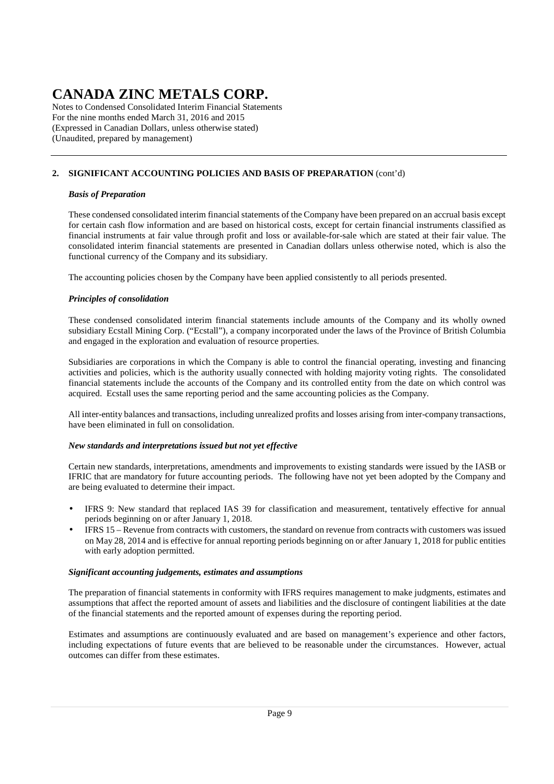Notes to Condensed Consolidated Interim Financial Statements For the nine months ended March 31, 2016 and 2015 (Expressed in Canadian Dollars, unless otherwise stated) (Unaudited, prepared by management)

### **2. SIGNIFICANT ACCOUNTING POLICIES AND BASIS OF PREPARATION** (cont'd)

### *Basis of Preparation*

These condensed consolidated interim financial statements of the Company have been prepared on an accrual basis except for certain cash flow information and are based on historical costs, except for certain financial instruments classified as financial instruments at fair value through profit and loss or available-for-sale which are stated at their fair value. The consolidated interim financial statements are presented in Canadian dollars unless otherwise noted, which is also the functional currency of the Company and its subsidiary.

The accounting policies chosen by the Company have been applied consistently to all periods presented.

### *Principles of consolidation*

These condensed consolidated interim financial statements include amounts of the Company and its wholly owned subsidiary Ecstall Mining Corp. ("Ecstall"), a company incorporated under the laws of the Province of British Columbia and engaged in the exploration and evaluation of resource properties.

Subsidiaries are corporations in which the Company is able to control the financial operating, investing and financing activities and policies, which is the authority usually connected with holding majority voting rights. The consolidated financial statements include the accounts of the Company and its controlled entity from the date on which control was acquired. Ecstall uses the same reporting period and the same accounting policies as the Company.

All inter-entity balances and transactions, including unrealized profits and losses arising from inter-company transactions, have been eliminated in full on consolidation.

### *New standards and interpretations issued but not yet effective*

Certain new standards, interpretations, amendments and improvements to existing standards were issued by the IASB or IFRIC that are mandatory for future accounting periods. The following have not yet been adopted by the Company and are being evaluated to determine their impact.

- IFRS 9: New standard that replaced IAS 39 for classification and measurement, tentatively effective for annual periods beginning on or after January 1, 2018.
- IFRS 15 Revenue from contracts with customers, the standard on revenue from contracts with customers was issued on May 28, 2014 and is effective for annual reporting periods beginning on or after January 1, 2018 for public entities with early adoption permitted.

### *Significant accounting judgements, estimates and assumptions*

The preparation of financial statements in conformity with IFRS requires management to make judgments, estimates and assumptions that affect the reported amount of assets and liabilities and the disclosure of contingent liabilities at the date of the financial statements and the reported amount of expenses during the reporting period.

Estimates and assumptions are continuously evaluated and are based on management's experience and other factors, including expectations of future events that are believed to be reasonable under the circumstances. However, actual outcomes can differ from these estimates.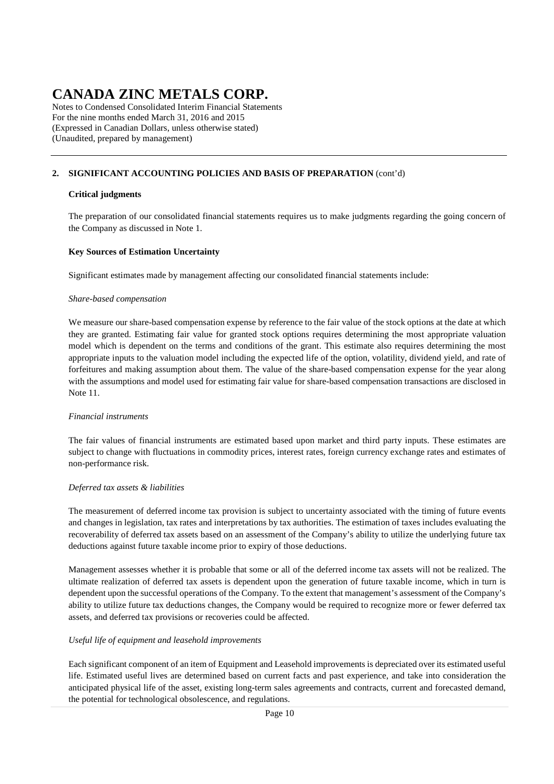Notes to Condensed Consolidated Interim Financial Statements For the nine months ended March 31, 2016 and 2015 (Expressed in Canadian Dollars, unless otherwise stated) (Unaudited, prepared by management)

### **2. SIGNIFICANT ACCOUNTING POLICIES AND BASIS OF PREPARATION** (cont'd)

#### **Critical judgments**

The preparation of our consolidated financial statements requires us to make judgments regarding the going concern of the Company as discussed in Note 1.

#### **Key Sources of Estimation Uncertainty**

Significant estimates made by management affecting our consolidated financial statements include:

#### *Share-based compensation*

We measure our share-based compensation expense by reference to the fair value of the stock options at the date at which they are granted. Estimating fair value for granted stock options requires determining the most appropriate valuation model which is dependent on the terms and conditions of the grant. This estimate also requires determining the most appropriate inputs to the valuation model including the expected life of the option, volatility, dividend yield, and rate of forfeitures and making assumption about them. The value of the share-based compensation expense for the year along with the assumptions and model used for estimating fair value for share-based compensation transactions are disclosed in Note 11.

#### *Financial instruments*

The fair values of financial instruments are estimated based upon market and third party inputs. These estimates are subject to change with fluctuations in commodity prices, interest rates, foreign currency exchange rates and estimates of non-performance risk.

#### *Deferred tax assets & liabilities*

The measurement of deferred income tax provision is subject to uncertainty associated with the timing of future events and changes in legislation, tax rates and interpretations by tax authorities. The estimation of taxes includes evaluating the recoverability of deferred tax assets based on an assessment of the Company's ability to utilize the underlying future tax deductions against future taxable income prior to expiry of those deductions.

Management assesses whether it is probable that some or all of the deferred income tax assets will not be realized. The ultimate realization of deferred tax assets is dependent upon the generation of future taxable income, which in turn is dependent upon the successful operations of the Company. To the extent that management's assessment of the Company's ability to utilize future tax deductions changes, the Company would be required to recognize more or fewer deferred tax assets, and deferred tax provisions or recoveries could be affected.

### *Useful life of equipment and leasehold improvements*

Each significant component of an item of Equipment and Leasehold improvements is depreciated over its estimated useful life. Estimated useful lives are determined based on current facts and past experience, and take into consideration the anticipated physical life of the asset, existing long-term sales agreements and contracts, current and forecasted demand, the potential for technological obsolescence, and regulations.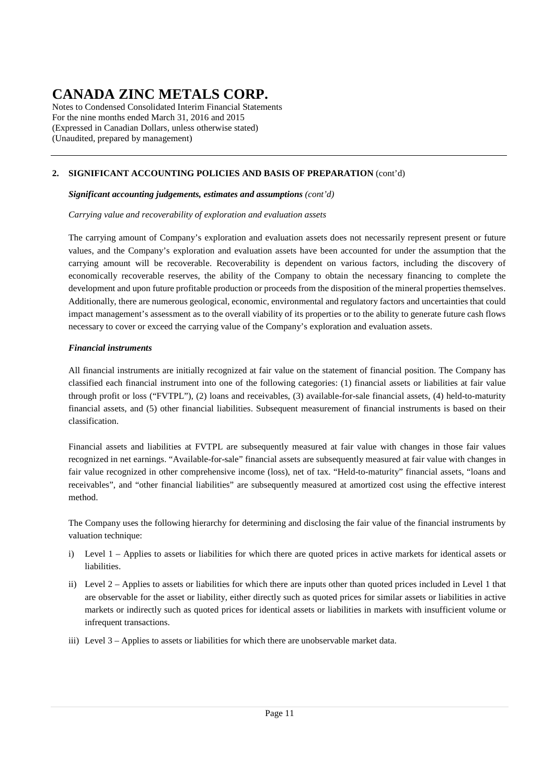Notes to Condensed Consolidated Interim Financial Statements For the nine months ended March 31, 2016 and 2015 (Expressed in Canadian Dollars, unless otherwise stated) (Unaudited, prepared by management)

### **2. SIGNIFICANT ACCOUNTING POLICIES AND BASIS OF PREPARATION** (cont'd)

### *Significant accounting judgements, estimates and assumptions (cont'd)*

*Carrying value and recoverability of exploration and evaluation assets* 

The carrying amount of Company's exploration and evaluation assets does not necessarily represent present or future values, and the Company's exploration and evaluation assets have been accounted for under the assumption that the carrying amount will be recoverable. Recoverability is dependent on various factors, including the discovery of economically recoverable reserves, the ability of the Company to obtain the necessary financing to complete the development and upon future profitable production or proceeds from the disposition of the mineral properties themselves. Additionally, there are numerous geological, economic, environmental and regulatory factors and uncertainties that could impact management's assessment as to the overall viability of its properties or to the ability to generate future cash flows necessary to cover or exceed the carrying value of the Company's exploration and evaluation assets.

### *Financial instruments*

All financial instruments are initially recognized at fair value on the statement of financial position. The Company has classified each financial instrument into one of the following categories: (1) financial assets or liabilities at fair value through profit or loss ("FVTPL"), (2) loans and receivables, (3) available-for-sale financial assets, (4) held-to-maturity financial assets, and (5) other financial liabilities. Subsequent measurement of financial instruments is based on their classification.

Financial assets and liabilities at FVTPL are subsequently measured at fair value with changes in those fair values recognized in net earnings. "Available-for-sale" financial assets are subsequently measured at fair value with changes in fair value recognized in other comprehensive income (loss), net of tax. "Held-to-maturity" financial assets, "loans and receivables", and "other financial liabilities" are subsequently measured at amortized cost using the effective interest method.

The Company uses the following hierarchy for determining and disclosing the fair value of the financial instruments by valuation technique:

- i) Level 1 Applies to assets or liabilities for which there are quoted prices in active markets for identical assets or liabilities.
- ii) Level 2 Applies to assets or liabilities for which there are inputs other than quoted prices included in Level 1 that are observable for the asset or liability, either directly such as quoted prices for similar assets or liabilities in active markets or indirectly such as quoted prices for identical assets or liabilities in markets with insufficient volume or infrequent transactions.
- iii) Level 3 Applies to assets or liabilities for which there are unobservable market data.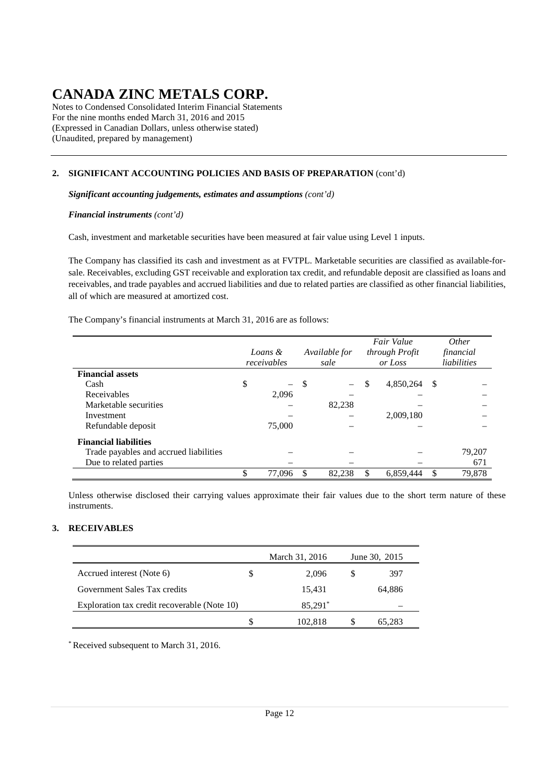Notes to Condensed Consolidated Interim Financial Statements For the nine months ended March 31, 2016 and 2015 (Expressed in Canadian Dollars, unless otherwise stated) (Unaudited, prepared by management)

### **2. SIGNIFICANT ACCOUNTING POLICIES AND BASIS OF PREPARATION** (cont'd)

*Significant accounting judgements, estimates and assumptions (cont'd)*

*Financial instruments (cont'd)*

Cash, investment and marketable securities have been measured at fair value using Level 1 inputs.

The Company has classified its cash and investment as at FVTPL. Marketable securities are classified as available-forsale. Receivables, excluding GST receivable and exploration tax credit, and refundable deposit are classified as loans and receivables, and trade payables and accrued liabilities and due to related parties are classified as other financial liabilities, all of which are measured at amortized cost.

The Company's financial instruments at March 31, 2016 are as follows:

|                                        | Loans &<br>receivables |    | Available for<br>sale    | Fair Value<br>through Profit<br>or Loss |           |               | <i>Other</i><br>financial<br>liabilities |
|----------------------------------------|------------------------|----|--------------------------|-----------------------------------------|-----------|---------------|------------------------------------------|
| <b>Financial assets</b>                |                        |    |                          |                                         |           |               |                                          |
| Cash                                   | \$                     | -S | $\overline{\phantom{0}}$ | \$                                      | 4,850,264 | - \$          |                                          |
| Receivables                            | 2.096                  |    | -                        |                                         |           |               |                                          |
| Marketable securities                  |                        |    | 82,238                   |                                         |           |               |                                          |
| Investment                             |                        |    |                          |                                         | 2,009,180 |               |                                          |
| Refundable deposit                     | 75,000                 |    |                          |                                         |           |               |                                          |
| <b>Financial liabilities</b>           |                        |    |                          |                                         |           |               |                                          |
| Trade payables and accrued liabilities |                        |    |                          |                                         |           |               | 79,207                                   |
| Due to related parties                 |                        |    |                          |                                         |           |               | 671                                      |
|                                        | \$<br>77,096           |    | 82,238                   | \$                                      | 6,859,444 | <sup>\$</sup> | 79,878                                   |

Unless otherwise disclosed their carrying values approximate their fair values due to the short term nature of these instruments.

### **3. RECEIVABLES**

|                                              |    | March 31, 2016 | June 30, 2015 |
|----------------------------------------------|----|----------------|---------------|
| Accrued interest (Note 6)                    | \$ | 2.096          | 397           |
| Government Sales Tax credits                 |    | 15,431         | 64.886        |
| Exploration tax credit recoverable (Note 10) |    | 85,291*        |               |
|                                              | S  | 102,818        | 65.283        |

\* Received subsequent to March 31, 2016.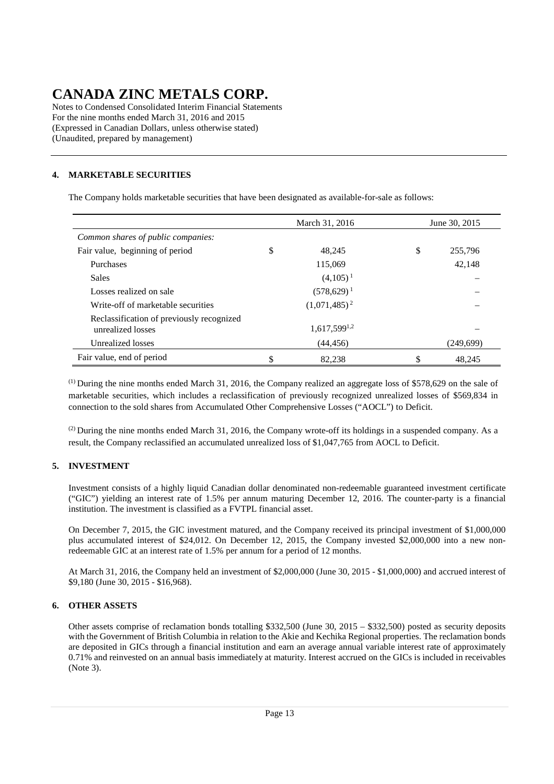Notes to Condensed Consolidated Interim Financial Statements For the nine months ended March 31, 2016 and 2015 (Expressed in Canadian Dollars, unless otherwise stated) (Unaudited, prepared by management)

### **4. MARKETABLE SECURITIES**

The Company holds marketable securities that have been designated as available-for-sale as follows:

|                                                                | March 31, 2016<br>June 30, 2015 |                   |    |           |  |  |  |
|----------------------------------------------------------------|---------------------------------|-------------------|----|-----------|--|--|--|
| Common shares of public companies:                             |                                 |                   |    |           |  |  |  |
| Fair value, beginning of period                                | \$                              | 48.245            | \$ | 255,796   |  |  |  |
| Purchases                                                      |                                 | 115,069           |    | 42,148    |  |  |  |
| <b>Sales</b>                                                   |                                 | $(4,105)^{1}$     |    |           |  |  |  |
| Losses realized on sale                                        |                                 | $(578,629)^1$     |    |           |  |  |  |
| Write-off of marketable securities                             |                                 | $(1,071,485)^2$   |    |           |  |  |  |
| Reclassification of previously recognized<br>unrealized losses |                                 | $1,617,599^{1,2}$ |    |           |  |  |  |
| Unrealized losses                                              |                                 | (44, 456)         |    | (249,699) |  |  |  |
| Fair value, end of period                                      | \$                              | 82,238            | \$ | 48,245    |  |  |  |

(1) During the nine months ended March 31, 2016, the Company realized an aggregate loss of \$578,629 on the sale of marketable securities, which includes a reclassification of previously recognized unrealized losses of \$569,834 in connection to the sold shares from Accumulated Other Comprehensive Losses ("AOCL") to Deficit.

 $^{(2)}$  During the nine months ended March 31, 2016, the Company wrote-off its holdings in a suspended company. As a result, the Company reclassified an accumulated unrealized loss of \$1,047,765 from AOCL to Deficit.

### **5. INVESTMENT**

Investment consists of a highly liquid Canadian dollar denominated non-redeemable guaranteed investment certificate ("GIC") yielding an interest rate of 1.5% per annum maturing December 12, 2016. The counter-party is a financial institution. The investment is classified as a FVTPL financial asset.

On December 7, 2015, the GIC investment matured, and the Company received its principal investment of \$1,000,000 plus accumulated interest of \$24,012. On December 12, 2015, the Company invested \$2,000,000 into a new nonredeemable GIC at an interest rate of 1.5% per annum for a period of 12 months.

At March 31, 2016, the Company held an investment of \$2,000,000 (June 30, 2015 - \$1,000,000) and accrued interest of \$9,180 (June 30, 2015 - \$16,968).

### **6. OTHER ASSETS**

Other assets comprise of reclamation bonds totalling \$332,500 (June 30, 2015 – \$332,500) posted as security deposits with the Government of British Columbia in relation to the Akie and Kechika Regional properties. The reclamation bonds are deposited in GICs through a financial institution and earn an average annual variable interest rate of approximately 0.71% and reinvested on an annual basis immediately at maturity. Interest accrued on the GICs is included in receivables (Note 3).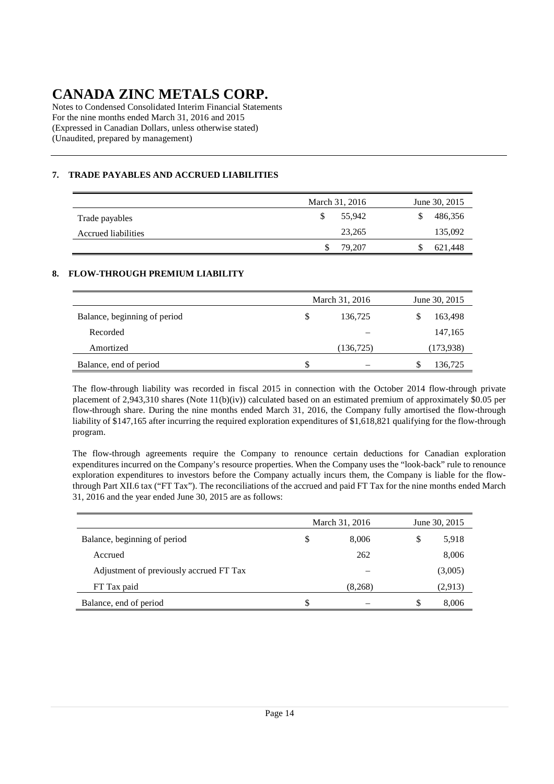Notes to Condensed Consolidated Interim Financial Statements For the nine months ended March 31, 2016 and 2015 (Expressed in Canadian Dollars, unless otherwise stated) (Unaudited, prepared by management)

### **7. TRADE PAYABLES AND ACCRUED LIABILITIES**

|                     | March 31, 2016 | June 30, 2015 |
|---------------------|----------------|---------------|
| Trade payables      | 55.942         | 486,356       |
| Accrued liabilities | 23,265         | 135,092       |
|                     | 79.207         | 621,448       |

### **8. FLOW-THROUGH PREMIUM LIABILITY**

|                              |   | March 31, 2016 | June 30, 2015 |
|------------------------------|---|----------------|---------------|
| Balance, beginning of period | S | 136.725        | 163,498       |
| Recorded                     |   |                | 147,165       |
| Amortized                    |   | (136, 725)     | (173,938)     |
| Balance, end of period       | S |                | 136,725       |

The flow-through liability was recorded in fiscal 2015 in connection with the October 2014 flow-through private placement of 2,943,310 shares (Note 11(b)(iv)) calculated based on an estimated premium of approximately \$0.05 per flow-through share. During the nine months ended March 31, 2016, the Company fully amortised the flow-through liability of \$147,165 after incurring the required exploration expenditures of \$1,618,821 qualifying for the flow-through program.

The flow-through agreements require the Company to renounce certain deductions for Canadian exploration expenditures incurred on the Company's resource properties. When the Company uses the "look-back" rule to renounce exploration expenditures to investors before the Company actually incurs them, the Company is liable for the flowthrough Part XII.6 tax ("FT Tax"). The reconciliations of the accrued and paid FT Tax for the nine months ended March 31, 2016 and the year ended June 30, 2015 are as follows:

|                                         |    | March 31, 2016 | June 30, 2015 |         |  |  |
|-----------------------------------------|----|----------------|---------------|---------|--|--|
| Balance, beginning of period            | \$ | 8,006          | \$            | 5,918   |  |  |
| Accrued                                 |    | 262            |               | 8,006   |  |  |
| Adjustment of previously accrued FT Tax |    |                |               | (3,005) |  |  |
| FT Tax paid                             |    | (8,268)        |               | (2,913) |  |  |
| Balance, end of period                  | S  |                | S             | 8,006   |  |  |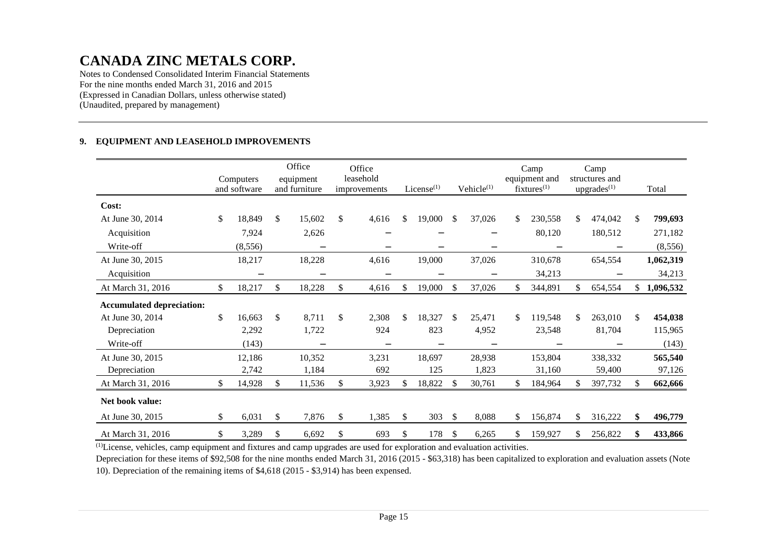Notes to Condensed Consolidated Interim Financial Statements For the nine months ended March 31, 2016 and 2015 (Expressed in Canadian Dollars, unless otherwise stated) (Unaudited, prepared by management)

#### **9. EQUIPMENT AND LEASEHOLD IMPROVEMENTS**

|                                  | Computers<br>and software | Office<br>equipment<br>and furniture | Office<br>leasehold<br>improvements | License $(1)$ |        |               | Vehicle <sup>(1)</sup> |    | Camp<br>equipment and<br>$fixtures^{(1)}$ | Camp<br>structures and<br>$upgrades^{(1)}$ |         | Total           |
|----------------------------------|---------------------------|--------------------------------------|-------------------------------------|---------------|--------|---------------|------------------------|----|-------------------------------------------|--------------------------------------------|---------|-----------------|
| Cost:                            |                           |                                      |                                     |               |        |               |                        |    |                                           |                                            |         |                 |
| At June 30, 2014                 | \$<br>18,849              | \$<br>15,602                         | \$<br>4,616                         | \$            | 19,000 | $\mathbb{S}$  | 37,026                 | \$ | 230,558                                   | \$                                         | 474,042 | \$<br>799,693   |
| Acquisition                      | 7,924                     | 2,626                                |                                     |               |        |               |                        |    | 80,120                                    |                                            | 180,512 | 271,182         |
| Write-off                        | (8, 556)                  | —                                    |                                     |               |        |               |                        |    | —                                         |                                            |         | (8,556)         |
| At June 30, 2015                 | 18,217                    | 18,228                               | 4,616                               |               | 19,000 |               | 37,026                 |    | 310,678                                   |                                            | 654,554 | 1,062,319       |
| Acquisition                      |                           | -                                    |                                     |               |        |               |                        |    | 34,213                                    |                                            |         | 34,213          |
| At March 31, 2016                | \$<br>18,217              | \$<br>18,228                         | \$<br>4,616                         | \$            | 19,000 | <sup>\$</sup> | 37,026                 | \$ | 344,891                                   | \$                                         | 654,554 | \$<br>1,096,532 |
| <b>Accumulated depreciation:</b> |                           |                                      |                                     |               |        |               |                        |    |                                           |                                            |         |                 |
| At June 30, 2014                 | \$<br>16,663              | \$<br>8,711                          | \$<br>2,308                         | \$            | 18,327 | <sup>\$</sup> | 25,471                 | \$ | 119,548                                   | \$                                         | 263,010 | \$<br>454,038   |
| Depreciation                     | 2,292                     | 1,722                                | 924                                 |               | 823    |               | 4,952                  |    | 23,548                                    |                                            | 81,704  | 115,965         |
| Write-off                        | (143)                     | $\overline{\phantom{0}}$             | $\overline{\phantom{0}}$            |               |        |               |                        |    |                                           |                                            |         | (143)           |
| At June 30, 2015                 | 12,186                    | 10,352                               | 3,231                               |               | 18,697 |               | 28,938                 |    | 153,804                                   |                                            | 338,332 | 565,540         |
| Depreciation                     | 2,742                     | 1,184                                | 692                                 |               | 125    |               | 1,823                  |    | 31,160                                    |                                            | 59,400  | 97,126          |
| At March 31, 2016                | \$<br>14,928              | \$<br>11,536                         | \$<br>3,923                         | \$            | 18,822 | <sup>\$</sup> | 30,761                 | \$ | 184,964                                   | S.                                         | 397,732 | \$<br>662,666   |
| Net book value:                  |                           |                                      |                                     |               |        |               |                        |    |                                           |                                            |         |                 |
| At June 30, 2015                 | \$<br>6,031               | \$<br>7,876                          | \$<br>1,385                         | \$            | 303    | <sup>\$</sup> | 8,088                  | \$ | 156,874                                   | \$                                         | 316,222 | \$<br>496,779   |
| At March 31, 2016                | \$<br>3,289               | \$<br>6,692                          | \$<br>693                           | \$            | 178    | $\mathbb{S}$  | 6,265                  | \$ | 159,927                                   |                                            | 256,822 | \$<br>433,866   |

 $\overline{^{(1)}}$ License, vehicles, camp equipment and fixtures and camp upgrades are used for exploration and evaluation activities.

 Depreciation for these items of \$92,508 for the nine months ended March 31, 2016 (2015 - \$63,318) has been capitalized to exploration and evaluation assets (Note 10). Depreciation of the remaining items of \$4,618 (2015 - \$3,914) has been expensed.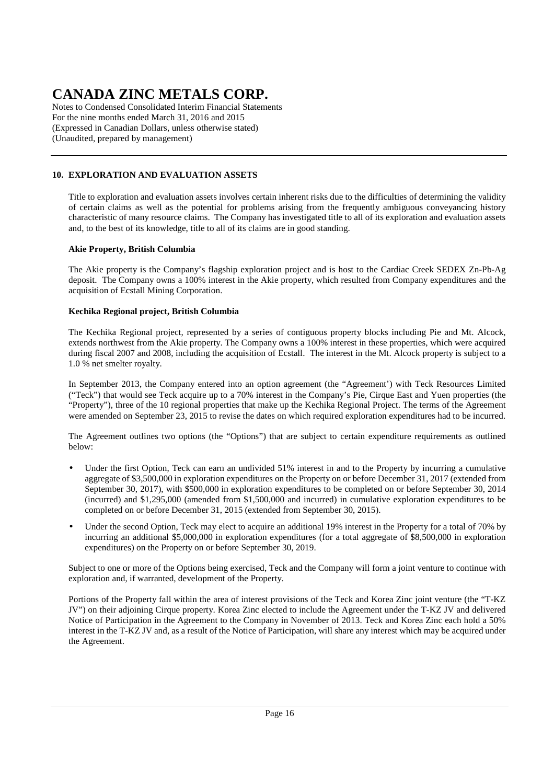Notes to Condensed Consolidated Interim Financial Statements For the nine months ended March 31, 2016 and 2015 (Expressed in Canadian Dollars, unless otherwise stated) (Unaudited, prepared by management)

### **10. EXPLORATION AND EVALUATION ASSETS**

Title to exploration and evaluation assets involves certain inherent risks due to the difficulties of determining the validity of certain claims as well as the potential for problems arising from the frequently ambiguous conveyancing history characteristic of many resource claims. The Company has investigated title to all of its exploration and evaluation assets and, to the best of its knowledge, title to all of its claims are in good standing.

### **Akie Property, British Columbia**

The Akie property is the Company's flagship exploration project and is host to the Cardiac Creek SEDEX Zn-Pb-Ag deposit. The Company owns a 100% interest in the Akie property, which resulted from Company expenditures and the acquisition of Ecstall Mining Corporation.

### **Kechika Regional project, British Columbia**

The Kechika Regional project, represented by a series of contiguous property blocks including Pie and Mt. Alcock, extends northwest from the Akie property. The Company owns a 100% interest in these properties, which were acquired during fiscal 2007 and 2008, including the acquisition of Ecstall. The interest in the Mt. Alcock property is subject to a 1.0 % net smelter royalty.

In September 2013, the Company entered into an option agreement (the "Agreement') with Teck Resources Limited ("Teck") that would see Teck acquire up to a 70% interest in the Company's Pie, Cirque East and Yuen properties (the "Property"), three of the 10 regional properties that make up the Kechika Regional Project. The terms of the Agreement were amended on September 23, 2015 to revise the dates on which required exploration expenditures had to be incurred.

The Agreement outlines two options (the "Options") that are subject to certain expenditure requirements as outlined below:

- Under the first Option, Teck can earn an undivided 51% interest in and to the Property by incurring a cumulative aggregate of \$3,500,000 in exploration expenditures on the Property on or before December 31, 2017 (extended from September 30, 2017), with \$500,000 in exploration expenditures to be completed on or before September 30, 2014 (incurred) and \$1,295,000 (amended from \$1,500,000 and incurred) in cumulative exploration expenditures to be completed on or before December 31, 2015 (extended from September 30, 2015).
- Under the second Option, Teck may elect to acquire an additional 19% interest in the Property for a total of 70% by incurring an additional \$5,000,000 in exploration expenditures (for a total aggregate of \$8,500,000 in exploration expenditures) on the Property on or before September 30, 2019.

Subject to one or more of the Options being exercised, Teck and the Company will form a joint venture to continue with exploration and, if warranted, development of the Property.

Portions of the Property fall within the area of interest provisions of the Teck and Korea Zinc joint venture (the "T-KZ JV") on their adjoining Cirque property. Korea Zinc elected to include the Agreement under the T-KZ JV and delivered Notice of Participation in the Agreement to the Company in November of 2013. Teck and Korea Zinc each hold a 50% interest in the T-KZ JV and, as a result of the Notice of Participation, will share any interest which may be acquired under the Agreement.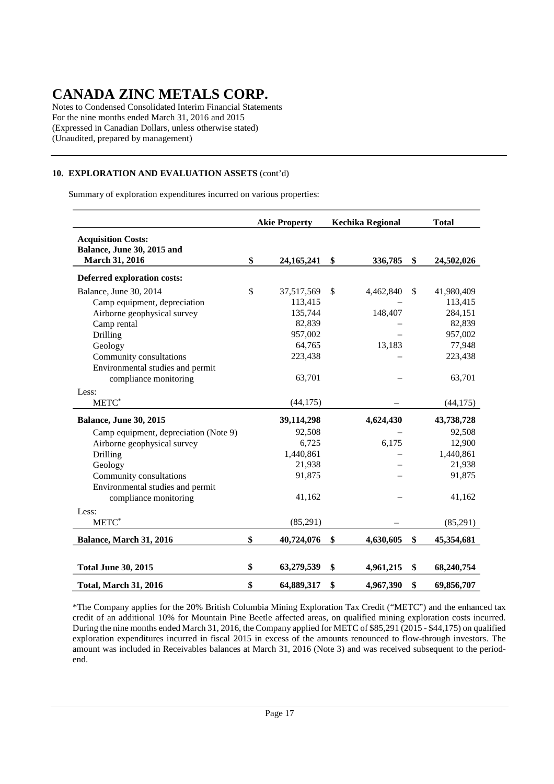Notes to Condensed Consolidated Interim Financial Statements For the nine months ended March 31, 2016 and 2015 (Expressed in Canadian Dollars, unless otherwise stated) (Unaudited, prepared by management)

### **10. EXPLORATION AND EVALUATION ASSETS** (cont'd)

Summary of exploration expenditures incurred on various properties:

|                                                                                                                                                                                            | <b>Akie Property</b> |                                                                            | <b>Kechika Regional</b> |                                | <b>Total</b> |                                                                            |
|--------------------------------------------------------------------------------------------------------------------------------------------------------------------------------------------|----------------------|----------------------------------------------------------------------------|-------------------------|--------------------------------|--------------|----------------------------------------------------------------------------|
| <b>Acquisition Costs:</b><br>Balance, June 30, 2015 and<br>March 31, 2016                                                                                                                  | \$                   | 24, 165, 241                                                               | \$                      | 336,785                        | \$           | 24,502,026                                                                 |
| Deferred exploration costs:                                                                                                                                                                |                      |                                                                            |                         |                                |              |                                                                            |
| Balance, June 30, 2014<br>Camp equipment, depreciation<br>Airborne geophysical survey<br>Camp rental<br>Drilling<br>Geology<br>Community consultations<br>Environmental studies and permit | \$                   | 37,517,569<br>113,415<br>135,744<br>82,839<br>957,002<br>64,765<br>223,438 | \$                      | 4,462,840<br>148,407<br>13,183 | \$           | 41,980,409<br>113,415<br>284,151<br>82,839<br>957,002<br>77,948<br>223,438 |
| compliance monitoring<br>Less:<br>METC*                                                                                                                                                    |                      | 63,701<br>(44, 175)                                                        |                         |                                |              | 63,701<br>(44, 175)                                                        |
| Balance, June 30, 2015                                                                                                                                                                     |                      | 39,114,298                                                                 |                         | 4,624,430                      |              | 43,738,728                                                                 |
| Camp equipment, depreciation (Note 9)<br>Airborne geophysical survey<br>Drilling<br>Geology<br>Community consultations<br>Environmental studies and permit<br>compliance monitoring        |                      | 92,508<br>6,725<br>1,440,861<br>21,938<br>91,875<br>41,162                 |                         | 6,175                          |              | 92,508<br>12,900<br>1,440,861<br>21,938<br>91,875<br>41,162                |
| Less:                                                                                                                                                                                      |                      |                                                                            |                         |                                |              |                                                                            |
| $METC^*$                                                                                                                                                                                   |                      | (85,291)                                                                   |                         |                                |              | (85,291)                                                                   |
| Balance, March 31, 2016                                                                                                                                                                    | \$                   | 40,724,076                                                                 | \$                      | 4,630,605                      | \$           | 45,354,681                                                                 |
| <b>Total June 30, 2015</b>                                                                                                                                                                 | \$                   | 63,279,539                                                                 | \$                      | 4,961,215                      | \$           | 68,240,754                                                                 |
| <b>Total, March 31, 2016</b>                                                                                                                                                               | \$                   | 64,889,317                                                                 | \$                      | 4,967,390                      | \$           | 69,856,707                                                                 |

 \*The Company applies for the 20% British Columbia Mining Exploration Tax Credit ("METC") and the enhanced tax credit of an additional 10% for Mountain Pine Beetle affected areas, on qualified mining exploration costs incurred. During the nine months ended March 31, 2016, the Company applied for METC of \$85,291 (2015 - \$44,175) on qualified exploration expenditures incurred in fiscal 2015 in excess of the amounts renounced to flow-through investors. The amount was included in Receivables balances at March 31, 2016 (Note 3) and was received subsequent to the periodend.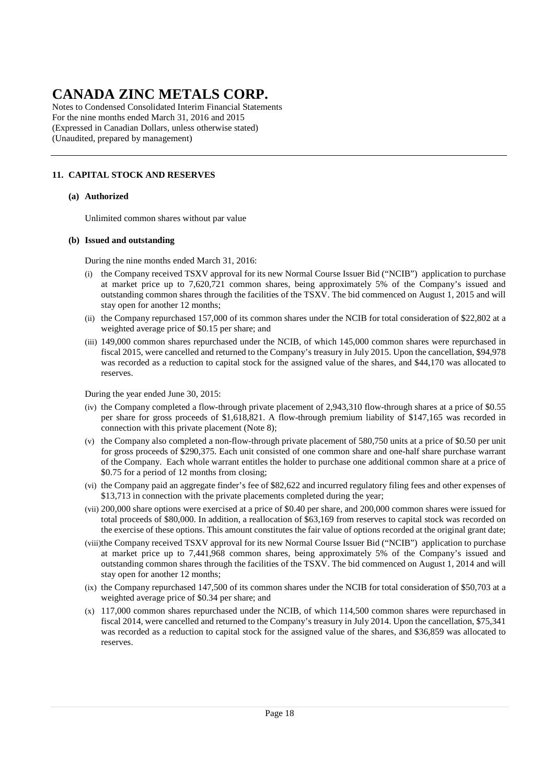Notes to Condensed Consolidated Interim Financial Statements For the nine months ended March 31, 2016 and 2015 (Expressed in Canadian Dollars, unless otherwise stated) (Unaudited, prepared by management)

### **11. CAPITAL STOCK AND RESERVES**

#### **(a) Authorized**

Unlimited common shares without par value

#### **(b) Issued and outstanding**

During the nine months ended March 31, 2016:

- (i) the Company received TSXV approval for its new Normal Course Issuer Bid ("NCIB") application to purchase at market price up to 7,620,721 common shares, being approximately 5% of the Company's issued and outstanding common shares through the facilities of the TSXV. The bid commenced on August 1, 2015 and will stay open for another 12 months;
- (ii) the Company repurchased 157,000 of its common shares under the NCIB for total consideration of \$22,802 at a weighted average price of \$0.15 per share; and
- (iii) 149,000 common shares repurchased under the NCIB, of which 145,000 common shares were repurchased in fiscal 2015, were cancelled and returned to the Company's treasury in July 2015. Upon the cancellation, \$94,978 was recorded as a reduction to capital stock for the assigned value of the shares, and \$44,170 was allocated to reserves.

During the year ended June 30, 2015:

- (iv) the Company completed a flow-through private placement of 2,943,310 flow-through shares at a price of \$0.55 per share for gross proceeds of \$1,618,821. A flow-through premium liability of \$147,165 was recorded in connection with this private placement (Note 8);
- (v) the Company also completed a non-flow-through private placement of 580,750 units at a price of \$0.50 per unit for gross proceeds of \$290,375. Each unit consisted of one common share and one-half share purchase warrant of the Company. Each whole warrant entitles the holder to purchase one additional common share at a price of \$0.75 for a period of 12 months from closing;
- (vi) the Company paid an aggregate finder's fee of \$82,622 and incurred regulatory filing fees and other expenses of \$13,713 in connection with the private placements completed during the year;
- (vii) 200,000 share options were exercised at a price of \$0.40 per share, and 200,000 common shares were issued for total proceeds of \$80,000. In addition, a reallocation of \$63,169 from reserves to capital stock was recorded on the exercise of these options. This amount constitutes the fair value of options recorded at the original grant date;
- (viii)the Company received TSXV approval for its new Normal Course Issuer Bid ("NCIB") application to purchase at market price up to 7,441,968 common shares, being approximately 5% of the Company's issued and outstanding common shares through the facilities of the TSXV. The bid commenced on August 1, 2014 and will stay open for another 12 months;
- (ix) the Company repurchased 147,500 of its common shares under the NCIB for total consideration of \$50,703 at a weighted average price of \$0.34 per share; and
- (x) 117,000 common shares repurchased under the NCIB, of which 114,500 common shares were repurchased in fiscal 2014, were cancelled and returned to the Company's treasury in July 2014. Upon the cancellation, \$75,341 was recorded as a reduction to capital stock for the assigned value of the shares, and \$36,859 was allocated to reserves.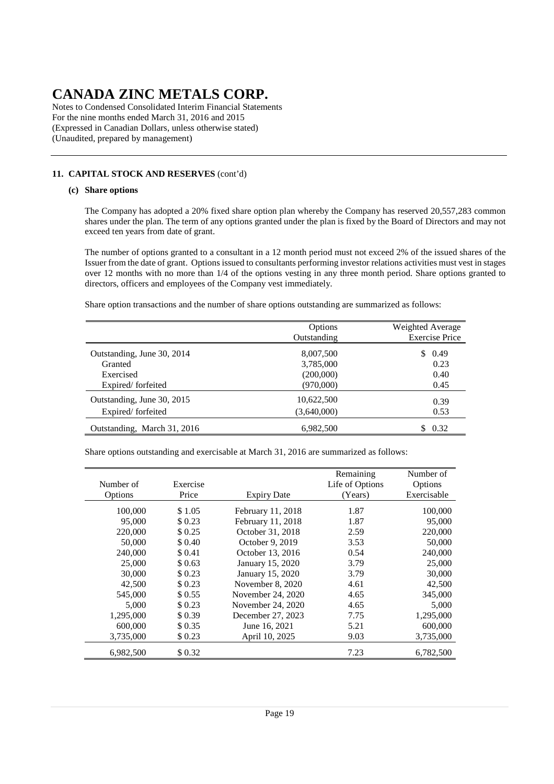Notes to Condensed Consolidated Interim Financial Statements For the nine months ended March 31, 2016 and 2015 (Expressed in Canadian Dollars, unless otherwise stated) (Unaudited, prepared by management)

### **11. CAPITAL STOCK AND RESERVES** (cont'd)

### **(c) Share options**

The Company has adopted a 20% fixed share option plan whereby the Company has reserved 20,557,283 common shares under the plan. The term of any options granted under the plan is fixed by the Board of Directors and may not exceed ten years from date of grant.

The number of options granted to a consultant in a 12 month period must not exceed 2% of the issued shares of the Issuer from the date of grant. Options issued to consultants performing investor relations activities must vest in stages over 12 months with no more than 1/4 of the options vesting in any three month period. Share options granted to directors, officers and employees of the Company vest immediately.

Share option transactions and the number of share options outstanding are summarized as follows:

|                             | Options<br>Outstanding | Weighted Average<br><b>Exercise Price</b> |
|-----------------------------|------------------------|-------------------------------------------|
| Outstanding, June 30, 2014  | 8,007,500              | 0.49                                      |
| Granted                     | 3,785,000              | 0.23                                      |
| Exercised                   | (200,000)              | 0.40                                      |
| Expired/forfeited           | (970,000)              | 0.45                                      |
| Outstanding, June 30, 2015  | 10,622,500             | 0.39                                      |
| Expired/forfeited           | (3,640,000)            | 0.53                                      |
| Outstanding, March 31, 2016 | 6,982,500              | 0.32                                      |

Share options outstanding and exercisable at March 31, 2016 are summarized as follows:

|           |          |                    | Remaining       | Number of   |
|-----------|----------|--------------------|-----------------|-------------|
| Number of | Exercise |                    | Life of Options | Options     |
| Options   | Price    | <b>Expiry Date</b> | (Years)         | Exercisable |
| 100,000   | \$1.05   | February 11, 2018  | 1.87            | 100,000     |
| 95,000    | \$0.23   | February 11, 2018  | 1.87            | 95,000      |
| 220,000   | \$0.25   | October 31, 2018   | 2.59            | 220,000     |
| 50,000    | \$ 0.40  | October 9, 2019    | 3.53            | 50,000      |
| 240,000   | \$0.41   | October 13, 2016   | 0.54            | 240,000     |
| 25,000    | \$0.63   | January 15, 2020   | 3.79            | 25,000      |
| 30,000    | \$0.23   | January 15, 2020   | 3.79            | 30,000      |
| 42,500    | \$0.23   | November 8, 2020   | 4.61            | 42,500      |
| 545,000   | \$0.55   | November 24, 2020  | 4.65            | 345,000     |
| 5.000     | \$0.23   | November 24, 2020  | 4.65            | 5,000       |
| 1,295,000 | \$0.39   | December 27, 2023  | 7.75            | 1,295,000   |
| 600,000   | \$ 0.35  | June 16, 2021      | 5.21            | 600,000     |
| 3,735,000 | \$0.23   | April 10, 2025     | 9.03            | 3,735,000   |
| 6,982,500 | \$0.32   |                    | 7.23            | 6,782,500   |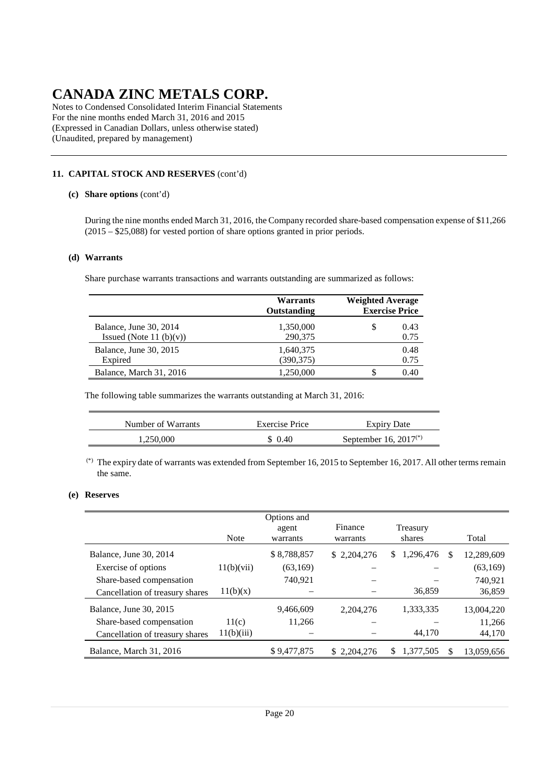Notes to Condensed Consolidated Interim Financial Statements For the nine months ended March 31, 2016 and 2015 (Expressed in Canadian Dollars, unless otherwise stated) (Unaudited, prepared by management)

### **11. CAPITAL STOCK AND RESERVES** (cont'd)

#### **(c) Share options** (cont'd)

During the nine months ended March 31, 2016, the Company recorded share-based compensation expense of \$11,266 (2015 – \$25,088) for vested portion of share options granted in prior periods.

#### **(d) Warrants**

Share purchase warrants transactions and warrants outstanding are summarized as follows:

|                                                      | <b>Warrants</b><br>Outstanding | <b>Weighted Average</b><br><b>Exercise Price</b> |
|------------------------------------------------------|--------------------------------|--------------------------------------------------|
| Balance, June 30, 2014<br>Issued (Note 11 $(b)(v)$ ) | 1,350,000<br>290,375           | S<br>0.43<br>0.75                                |
| Balance, June 30, 2015<br>Expired                    | 1,640,375<br>(390, 375)        | 0.48<br>0.75                                     |
| Balance, March 31, 2016                              | 1,250,000                      | 0.40                                             |

The following table summarizes the warrants outstanding at March 31, 2016:

| Number of Warrants | Exercise Price | <b>Expiry Date</b>         |
|--------------------|----------------|----------------------------|
| 1.250.000          | \$ 0.40        | September 16, $2017^{(*)}$ |

 (\*) The expiry date of warrants was extended from September 16, 2015 to September 16, 2017. All other terms remain the same.

### **(e) Reserves**

|                                 | <b>Note</b> | Options and<br>agent<br>warrants | Finance<br>warrants | Treasury<br>shares |   | Total      |
|---------------------------------|-------------|----------------------------------|---------------------|--------------------|---|------------|
| Balance, June 30, 2014          |             | \$8,788,857                      | \$2,204,276         | 1,296,476<br>\$    | S | 12,289,609 |
| Exercise of options             | 11(b)(vii)  | (63,169)                         |                     |                    |   | (63,169)   |
| Share-based compensation        |             | 740.921                          |                     |                    |   | 740.921    |
| Cancellation of treasury shares | 11(b)(x)    |                                  |                     | 36,859             |   | 36,859     |
| Balance, June 30, 2015          |             | 9,466,609                        | 2.204.276           | 1,333,335          |   | 13,004,220 |
| Share-based compensation        | 11(c)       | 11.266                           |                     |                    |   | 11,266     |
| Cancellation of treasury shares | 11(b)(iii)  |                                  |                     | 44,170             |   | 44,170     |
| Balance, March 31, 2016         |             | \$9,477,875                      | \$2,204,276         | S<br>1,377,505     |   | 13,059,656 |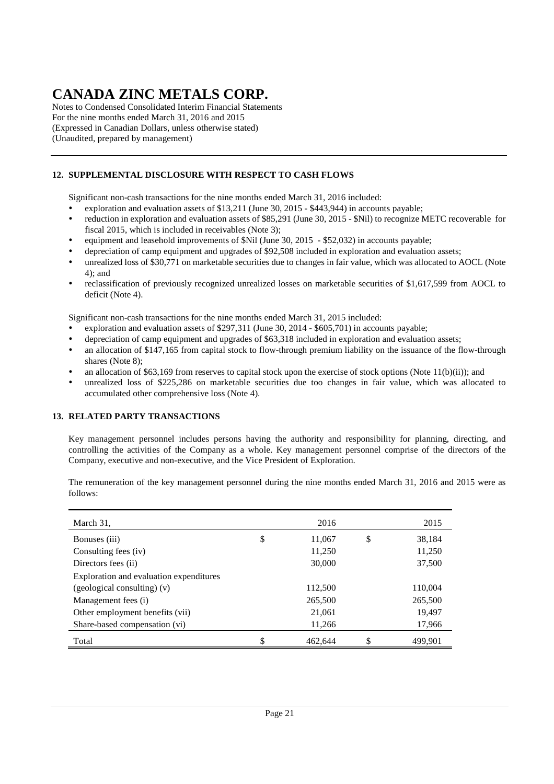Notes to Condensed Consolidated Interim Financial Statements For the nine months ended March 31, 2016 and 2015 (Expressed in Canadian Dollars, unless otherwise stated) (Unaudited, prepared by management)

### **12. SUPPLEMENTAL DISCLOSURE WITH RESPECT TO CASH FLOWS**

Significant non-cash transactions for the nine months ended March 31, 2016 included:

- exploration and evaluation assets of \$13,211 (June 30, 2015 \$443,944) in accounts payable;
- reduction in exploration and evaluation assets of \$85,291 (June 30, 2015 \$Nil) to recognize METC recoverable for fiscal 2015, which is included in receivables (Note 3);
- equipment and leasehold improvements of \$Nil (June 30, 2015 \$52,032) in accounts payable;
- depreciation of camp equipment and upgrades of \$92,508 included in exploration and evaluation assets;
- unrealized loss of \$30,771 on marketable securities due to changes in fair value, which was allocated to AOCL (Note 4); and
- reclassification of previously recognized unrealized losses on marketable securities of \$1,617,599 from AOCL to deficit (Note 4).

Significant non-cash transactions for the nine months ended March 31, 2015 included:

- exploration and evaluation assets of \$297,311 (June 30, 2014 \$605,701) in accounts payable;
- depreciation of camp equipment and upgrades of \$63,318 included in exploration and evaluation assets;
- an allocation of \$147,165 from capital stock to flow-through premium liability on the issuance of the flow-through shares (Note 8);
- an allocation of \$63,169 from reserves to capital stock upon the exercise of stock options (Note 11(b)(ii)); and
- unrealized loss of \$225,286 on marketable securities due too changes in fair value, which was allocated to accumulated other comprehensive loss (Note 4).

### **13. RELATED PARTY TRANSACTIONS**

Key management personnel includes persons having the authority and responsibility for planning, directing, and controlling the activities of the Company as a whole. Key management personnel comprise of the directors of the Company, executive and non-executive, and the Vice President of Exploration.

The remuneration of the key management personnel during the nine months ended March 31, 2016 and 2015 were as follows:

| March 31,                               | 2016          | 2015          |
|-----------------------------------------|---------------|---------------|
| Bonuses (iii)                           | \$<br>11,067  | \$<br>38,184  |
| Consulting fees (iv)                    | 11,250        | 11,250        |
| Directors fees (ii)                     | 30,000        | 37,500        |
| Exploration and evaluation expenditures |               |               |
| $(geological$ consulting) $(v)$         | 112,500       | 110,004       |
| Management fees (i)                     | 265,500       | 265,500       |
| Other employment benefits (vii)         | 21,061        | 19,497        |
| Share-based compensation (vi)           | 11,266        | 17,966        |
| Total                                   | \$<br>462,644 | \$<br>499,901 |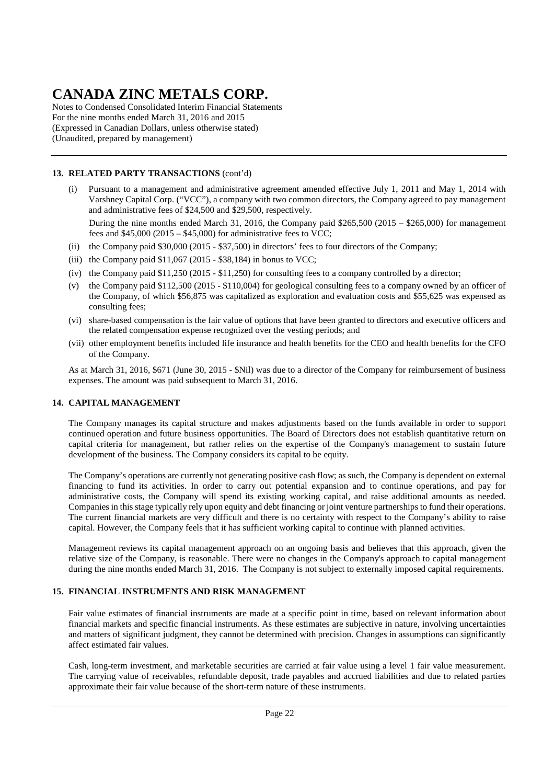Notes to Condensed Consolidated Interim Financial Statements For the nine months ended March 31, 2016 and 2015 (Expressed in Canadian Dollars, unless otherwise stated) (Unaudited, prepared by management)

### **13. RELATED PARTY TRANSACTIONS** (cont'd)

(i) Pursuant to a management and administrative agreement amended effective July 1, 2011 and May 1, 2014 with Varshney Capital Corp. ("VCC"), a company with two common directors, the Company agreed to pay management and administrative fees of \$24,500 and \$29,500, respectively.

During the nine months ended March 31, 2016, the Company paid \$265,500 (2015 – \$265,000) for management fees and  $$45,000 (2015 - $45,000)$  for administrative fees to VCC;

- (ii) the Company paid \$30,000 (2015 \$37,500) in directors' fees to four directors of the Company;
- (iii) the Company paid  $$11,067$  (2015 \$38,184) in bonus to VCC;
- (iv) the Company paid \$11,250 (2015 \$11,250) for consulting fees to a company controlled by a director;
- (v) the Company paid \$112,500 (2015 \$110,004) for geological consulting fees to a company owned by an officer of the Company, of which \$56,875 was capitalized as exploration and evaluation costs and \$55,625 was expensed as consulting fees;
- (vi) share-based compensation is the fair value of options that have been granted to directors and executive officers and the related compensation expense recognized over the vesting periods; and
- (vii) other employment benefits included life insurance and health benefits for the CEO and health benefits for the CFO of the Company.

As at March 31, 2016, \$671 (June 30, 2015 - \$Nil) was due to a director of the Company for reimbursement of business expenses. The amount was paid subsequent to March 31, 2016.

### **14. CAPITAL MANAGEMENT**

The Company manages its capital structure and makes adjustments based on the funds available in order to support continued operation and future business opportunities. The Board of Directors does not establish quantitative return on capital criteria for management, but rather relies on the expertise of the Company's management to sustain future development of the business. The Company considers its capital to be equity.

The Company's operations are currently not generating positive cash flow; as such, the Company is dependent on external financing to fund its activities. In order to carry out potential expansion and to continue operations, and pay for administrative costs, the Company will spend its existing working capital, and raise additional amounts as needed. Companies in this stage typically rely upon equity and debt financing or joint venture partnerships to fund their operations. The current financial markets are very difficult and there is no certainty with respect to the Company's ability to raise capital. However, the Company feels that it has sufficient working capital to continue with planned activities.

Management reviews its capital management approach on an ongoing basis and believes that this approach, given the relative size of the Company, is reasonable. There were no changes in the Company's approach to capital management during the nine months ended March 31, 2016. The Company is not subject to externally imposed capital requirements.

### **15. FINANCIAL INSTRUMENTS AND RISK MANAGEMENT**

Fair value estimates of financial instruments are made at a specific point in time, based on relevant information about financial markets and specific financial instruments. As these estimates are subjective in nature, involving uncertainties and matters of significant judgment, they cannot be determined with precision. Changes in assumptions can significantly affect estimated fair values.

Cash, long-term investment, and marketable securities are carried at fair value using a level 1 fair value measurement. The carrying value of receivables, refundable deposit, trade payables and accrued liabilities and due to related parties approximate their fair value because of the short-term nature of these instruments.